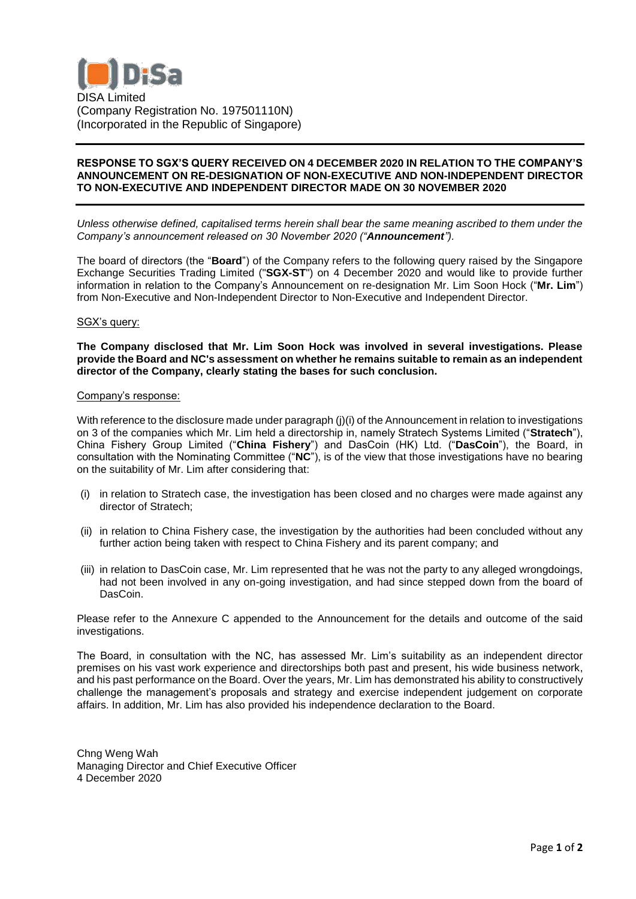

## **RESPONSE TO SGX'S QUERY RECEIVED ON 4 DECEMBER 2020 IN RELATION TO THE COMPANY'S ANNOUNCEMENT ON RE-DESIGNATION OF NON-EXECUTIVE AND NON-INDEPENDENT DIRECTOR TO NON-EXECUTIVE AND INDEPENDENT DIRECTOR MADE ON 30 NOVEMBER 2020**

*Unless otherwise defined, capitalised terms herein shall bear the same meaning ascribed to them under the Company's announcement released on 30 November 2020 ("Announcement").*

The board of directors (the "**Board**") of the Company refers to the following query raised by the Singapore Exchange Securities Trading Limited ("**SGX-ST**") on 4 December 2020 and would like to provide further information in relation to the Company's Announcement on re-designation Mr. Lim Soon Hock ("**Mr. Lim**") from Non-Executive and Non-Independent Director to Non-Executive and Independent Director.

## SGX's query:

**The Company disclosed that Mr. Lim Soon Hock was involved in several investigations. Please provide the Board and NC's assessment on whether he remains suitable to remain as an independent director of the Company, clearly stating the bases for such conclusion.**

## Company's response:

With reference to the disclosure made under paragraph (j)(i) of the Announcement in relation to investigations on 3 of the companies which Mr. Lim held a directorship in, namely Stratech Systems Limited ("**Stratech**"), China Fishery Group Limited ("**China Fishery**") and DasCoin (HK) Ltd. ("**DasCoin**"), the Board, in consultation with the Nominating Committee ("**NC**"), is of the view that those investigations have no bearing on the suitability of Mr. Lim after considering that:

- (i) in relation to Stratech case, the investigation has been closed and no charges were made against any director of Stratech;
- (ii) in relation to China Fishery case, the investigation by the authorities had been concluded without any further action being taken with respect to China Fishery and its parent company; and
- (iii) in relation to DasCoin case, Mr. Lim represented that he was not the party to any alleged wrongdoings, had not been involved in any on-going investigation, and had since stepped down from the board of DasCoin.

Please refer to the Annexure C appended to the Announcement for the details and outcome of the said investigations.

The Board, in consultation with the NC, has assessed Mr. Lim's suitability as an independent director premises on his vast work experience and directorships both past and present, his wide business network, and his past performance on the Board. Over the years, Mr. Lim has demonstrated his ability to constructively challenge the management's proposals and strategy and exercise independent judgement on corporate affairs. In addition, Mr. Lim has also provided his independence declaration to the Board.

Chng Weng Wah Managing Director and Chief Executive Officer 4 December 2020